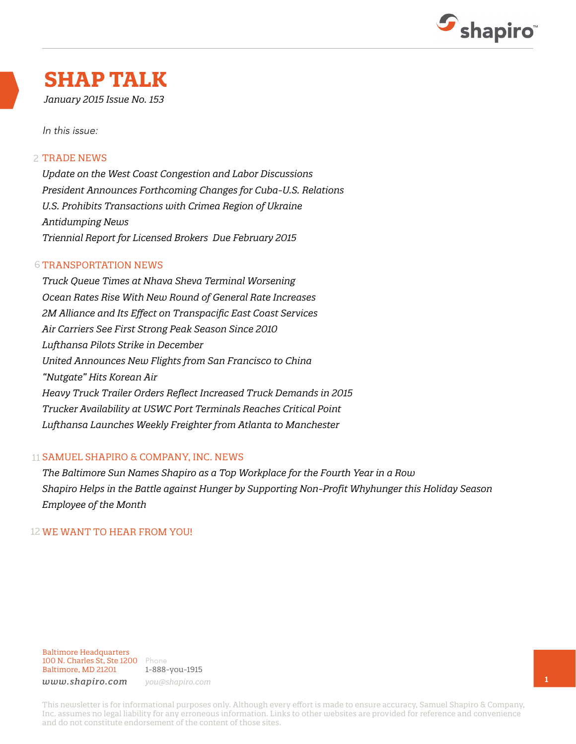

## **SHAP TALK**

*January 2015 Issue No. 153*

In this issue:

#### 2 TRADE NEWS

*Update on the West Coast Congestion and Labor Discussions President Announces Forthcoming Changes for Cuba-U.S. Relations U.S. Prohibits Transactions with Crimea Region of Ukraine Antidumping News Triennial Report for Licensed Brokers Due February 2015* 

#### **6 TRANSPORTATION NEWS**

*Truck Queue Times at Nhava Sheva Terminal Worsening Ocean Rates Rise With New Round of General Rate Increases 2M Alliance and Its Effect on Transpacific East Coast Services Air Carriers See First Strong Peak Season Since 2010 Lufthansa Pilots Strike in December United Announces New Flights from San Francisco to China "Nutgate" Hits Korean Air Heavy Truck Trailer Orders Reflect Increased Truck Demands in 2015 Trucker Availability at USWC Port Terminals Reaches Critical Point Lufthansa Launches Weekly Freighter from Atlanta to Manchester* 

#### 11 SAMUEL SHAPIRO & COMPANY, INC. NEWS

*The Baltimore Sun Names Shapiro as a Top Workplace for the Fourth Year in a Row Shapiro Helps in the Battle against Hunger by Supporting Non-Profit Whyhunger this Holiday Season Employee of the Month*

#### 12 WE WANT TO HEAR FROM YOU!

Baltimore Headquarters 100 N. Charles St, Ste 1200 Phone Baltimore, MD 21201

1-888-you-1915 *www.shapiro.com you@shapiro.com*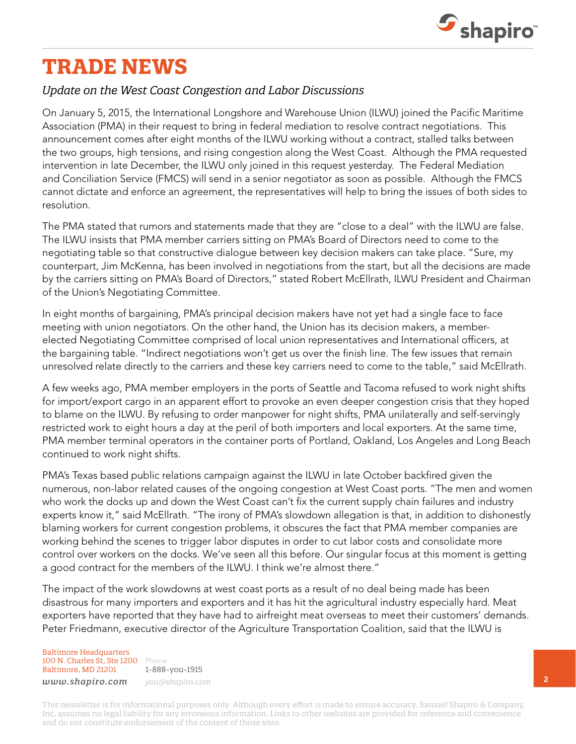

# **TRADE NEWS**

## *Update on the West Coast Congestion and Labor Discussions*

On January 5, 2015, the International Longshore and Warehouse Union (ILWU) joined the Pacific Maritime Association (PMA) in their request to bring in federal mediation to resolve contract negotiations. This announcement comes after eight months of the ILWU working without a contract, stalled talks between the two groups, high tensions, and rising congestion along the West Coast. Although the PMA requested intervention in late December, the ILWU only joined in this request yesterday. The Federal Mediation and Conciliation Service (FMCS) will send in a senior negotiator as soon as possible. Although the FMCS cannot dictate and enforce an agreement, the representatives will help to bring the issues of both sides to resolution.

The PMA stated that rumors and statements made that they are "close to a deal" with the ILWU are false. The ILWU insists that PMA member carriers sitting on PMA's Board of Directors need to come to the negotiating table so that constructive dialogue between key decision makers can take place. "Sure, my counterpart, Jim McKenna, has been involved in negotiations from the start, but all the decisions are made by the carriers sitting on PMA's Board of Directors," stated Robert McEllrath, ILWU President and Chairman of the Union's Negotiating Committee.

In eight months of bargaining, PMA's principal decision makers have not yet had a single face to face meeting with union negotiators. On the other hand, the Union has its decision makers, a memberelected Negotiating Committee comprised of local union representatives and International officers, at the bargaining table. "Indirect negotiations won't get us over the finish line. The few issues that remain unresolved relate directly to the carriers and these key carriers need to come to the table," said McEllrath.

A few weeks ago, PMA member employers in the ports of Seattle and Tacoma refused to work night shifts for import/export cargo in an apparent effort to provoke an even deeper congestion crisis that they hoped to blame on the ILWU. By refusing to order manpower for night shifts, PMA unilaterally and self-servingly restricted work to eight hours a day at the peril of both importers and local exporters. At the same time, PMA member terminal operators in the container ports of Portland, Oakland, Los Angeles and Long Beach continued to work night shifts.

PMA's Texas based public relations campaign against the ILWU in late October backfired given the numerous, non-labor related causes of the ongoing congestion at West Coast ports. "The men and women who work the docks up and down the West Coast can't fix the current supply chain failures and industry experts know it," said McEllrath. "The irony of PMA's slowdown allegation is that, in addition to dishonestly blaming workers for current congestion problems, it obscures the fact that PMA member companies are working behind the scenes to trigger labor disputes in order to cut labor costs and consolidate more control over workers on the docks. We've seen all this before. Our singular focus at this moment is getting a good contract for the members of the ILWU. I think we're almost there."

The impact of the work slowdowns at west coast ports as a result of no deal being made has been disastrous for many importers and exporters and it has hit the agricultural industry especially hard. Meat exporters have reported that they have had to airfreight meat overseas to meet their customers' demands. Peter Friedmann, executive director of the Agriculture Transportation Coalition, said that the ILWU is

Baltimore Headquarters 100 N. Charles St, Ste 1200 Phone Baltimore, MD 21201

1-888-you-1915 *www.shapiro.com you@shapiro.com*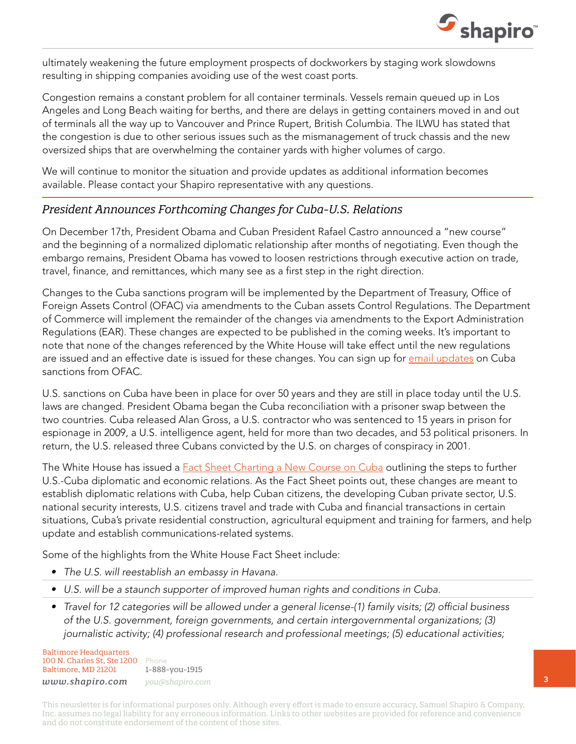

ultimately weakening the future employment prospects of dockworkers by staging work slowdowns resulting in shipping companies avoiding use of the west coast ports.

Congestion remains a constant problem for all container terminals. Vessels remain queued up in Los Angeles and Long Beach waiting for berths, and there are delays in getting containers moved in and out of terminals all the way up to Vancouver and Prince Rupert, British Columbia. The ILWU has stated that the congestion is due to other serious issues such as the mismanagement of truck chassis and the new oversized ships that are overwhelming the container yards with higher volumes of cargo.

We will continue to monitor the situation and provide updates as additional information becomes available. Please contact your Shapiro representative with any questions.

## *President Announces Forthcoming Changes for Cuba-U.S. Relations*

On December 17th, President Obama and Cuban President Rafael Castro announced a "new course" and the beginning of a normalized diplomatic relationship after months of negotiating. Even though the embargo remains, President Obama has vowed to loosen restrictions through executive action on trade, travel, finance, and remittances, which many see as a first step in the right direction.

Changes to the Cuba sanctions program will be implemented by the Department of Treasury, Office of Foreign Assets Control (OFAC) via amendments to the Cuban assets Control Regulations. The Department of Commerce will implement the remainder of the changes via amendments to the Export Administration Regulations (EAR). These changes are expected to be published in the coming weeks. It's important to note that none of the changes referenced by the White House will take effect until the new regulations are issued and an effective date is issued for these changes. You can sign up for [email updates](http://www.treasury.gov/resource-center/sanctions/Programs/pages/cuba.aspx) on Cuba sanctions from OFAC.

U.S. sanctions on Cuba have been in place for over 50 years and they are still in place today until the U.S. laws are changed. President Obama began the Cuba reconciliation with a prisoner swap between the two countries. Cuba released Alan Gross, a U.S. contractor who was sentenced to 15 years in prison for espionage in 2009, a U.S. intelligence agent, held for more than two decades, and 53 political prisoners. In return, the U.S. released three Cubans convicted by the U.S. on charges of conspiracy in 2001.

The White House has issued a [Fact Sheet Charting a New Course on Cuba](http://www.whitehouse.gov/the-press-office/2014/12/17/fact-sheet-charting-new-course-cuba) outlining the steps to further U.S.-Cuba diplomatic and economic relations. As the Fact Sheet points out, these changes are meant to establish diplomatic relations with Cuba, help Cuban citizens, the developing Cuban private sector, U.S. national security interests, U.S. citizens travel and trade with Cuba and financial transactions in certain situations, Cuba's private residential construction, agricultural equipment and training for farmers, and help update and establish communications-related systems.

Some of the highlights from the White House Fact Sheet include:

- The U.S. will reestablish an embassy in Havana.
- • U.S. will be a staunch supporter of improved human rights and conditions in Cuba.
- Travel for 12 categories will be allowed under a general license-(1) family visits; (2) official business of the U.S. government, foreign governments, and certain intergovernmental organizations; (3) journalistic activity; (4) professional research and professional meetings; (5) educational activities;

Baltimore Headquarters 100 N. Charles St, Ste 1200 Phone Baltimore, MD 21201 *www.shapiro.com you@shapiro.com*

1-888-you-1915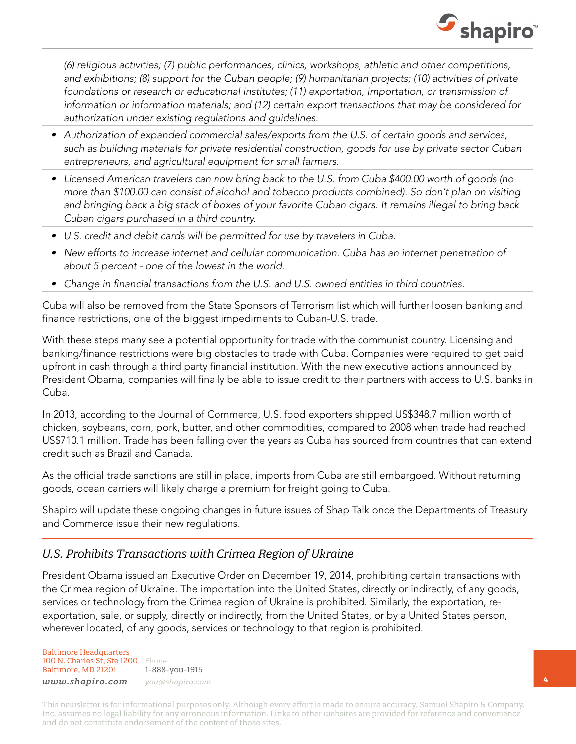

(6) religious activities; (7) public performances, clinics, workshops, athletic and other competitions, and exhibitions; (8) support for the Cuban people; (9) humanitarian projects; (10) activities of private foundations or research or educational institutes; (11) exportation, importation, or transmission of information or information materials; and (12) certain export transactions that may be considered for authorization under existing regulations and guidelines.

- • Authorization of expanded commercial sales/exports from the U.S. of certain goods and services, such as building materials for private residential construction, goods for use by private sector Cuban entrepreneurs, and agricultural equipment for small farmers.
- Licensed American travelers can now bring back to the U.S. from Cuba \$400.00 worth of goods (no more than \$100.00 can consist of alcohol and tobacco products combined). So don't plan on visiting and bringing back a big stack of boxes of your favorite Cuban cigars. It remains illegal to bring back Cuban cigars purchased in a third country.
- • U.S. credit and debit cards will be permitted for use by travelers in Cuba.
- New efforts to increase internet and cellular communication. Cuba has an internet penetration of about 5 percent - one of the lowest in the world.
- Change in financial transactions from the U.S. and U.S. owned entities in third countries.

Cuba will also be removed from the State Sponsors of Terrorism list which will further loosen banking and finance restrictions, one of the biggest impediments to Cuban-U.S. trade.

With these steps many see a potential opportunity for trade with the communist country. Licensing and banking/finance restrictions were big obstacles to trade with Cuba. Companies were required to get paid upfront in cash through a third party financial institution. With the new executive actions announced by President Obama, companies will finally be able to issue credit to their partners with access to U.S. banks in Cuba.

In 2013, according to the Journal of Commerce, U.S. food exporters shipped US\$348.7 million worth of chicken, soybeans, corn, pork, butter, and other commodities, compared to 2008 when trade had reached US\$710.1 million. Trade has been falling over the years as Cuba has sourced from countries that can extend credit such as Brazil and Canada.

As the official trade sanctions are still in place, imports from Cuba are still embargoed. Without returning goods, ocean carriers will likely charge a premium for freight going to Cuba.

Shapiro will update these ongoing changes in future issues of Shap Talk once the Departments of Treasury and Commerce issue their new regulations.

## *U.S. Prohibits Transactions with Crimea Region of Ukraine*

President Obama issued an Executive Order on December 19, 2014, prohibiting certain transactions with the Crimea region of Ukraine. The importation into the United States, directly or indirectly, of any goods, services or technology from the Crimea region of Ukraine is prohibited. Similarly, the exportation, reexportation, sale, or supply, directly or indirectly, from the United States, or by a United States person, wherever located, of any goods, services or technology to that region is prohibited.

Baltimore Headquarters 100 N. Charles St, Ste 1200 Phone Baltimore, MD 21201

1-888-you-1915 *www.shapiro.com you@shapiro.com*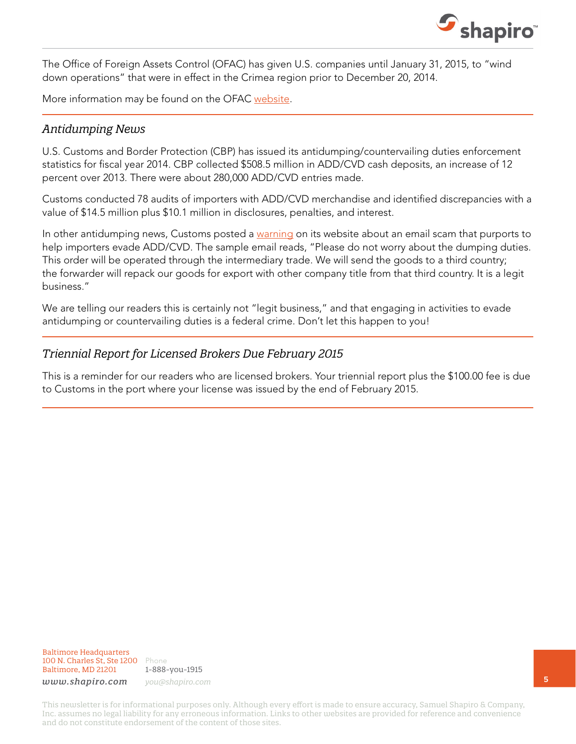

The Office of Foreign Assets Control (OFAC) has given U.S. companies until January 31, 2015, to "wind down operations" that were in effect in the Crimea region prior to December 20, 2014.

More information may be found on the OFAC [website.](http://www.treasury.gov/resource-center/sanctions/Programs/Pages/ukraine.aspx)

### *Antidumping News*

U.S. Customs and Border Protection (CBP) has issued its antidumping/countervailing duties enforcement statistics for fiscal year 2014. CBP collected \$508.5 million in ADD/CVD cash deposits, an increase of 12 percent over 2013. There were about 280,000 ADD/CVD entries made.

Customs conducted 78 audits of importers with ADD/CVD merchandise and identified discrepancies with a value of \$14.5 million plus \$10.1 million in disclosures, penalties, and interest.

In other antidumping news, Customs posted a [warning](http://www.cbp.gov/trade/priority-issues/adcvd/scam-alert) on its website about an email scam that purports to help importers evade ADD/CVD. The sample email reads, "Please do not worry about the dumping duties. This order will be operated through the intermediary trade. We will send the goods to a third country; the forwarder will repack our goods for export with other company title from that third country. It is a legit business."

We are telling our readers this is certainly not "legit business," and that engaging in activities to evade antidumping or countervailing duties is a federal crime. Don't let this happen to you!

### *Triennial Report for Licensed Brokers Due February 2015*

This is a reminder for our readers who are licensed brokers. Your triennial report plus the \$100.00 fee is due to Customs in the port where your license was issued by the end of February 2015.

Baltimore Headquarters 100 N. Charles St, Ste 1200 Phone Baltimore, MD 21201

1-888-you-1915

*www.shapiro.com you@shapiro.com*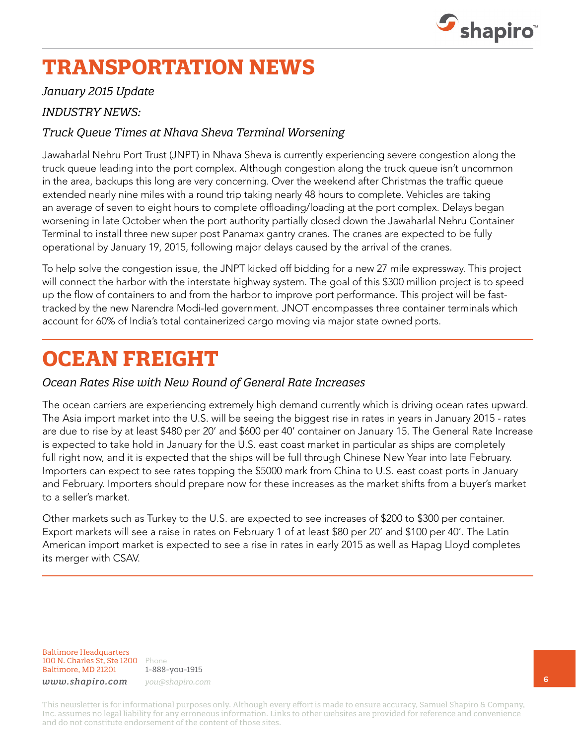

## **TRANSPORTATION NEWS**

### *January 2015 Update*

## *INDUSTRY NEWS:*

## *Truck Queue Times at Nhava Sheva Terminal Worsening*

Jawaharlal Nehru Port Trust (JNPT) in Nhava Sheva is currently experiencing severe congestion along the truck queue leading into the port complex. Although congestion along the truck queue isn't uncommon in the area, backups this long are very concerning. Over the weekend after Christmas the traffic queue extended nearly nine miles with a round trip taking nearly 48 hours to complete. Vehicles are taking an average of seven to eight hours to complete offloading/loading at the port complex. Delays began worsening in late October when the port authority partially closed down the Jawaharlal Nehru Container Terminal to install three new super post Panamax gantry cranes. The cranes are expected to be fully operational by January 19, 2015, following major delays caused by the arrival of the cranes.

To help solve the congestion issue, the JNPT kicked off bidding for a new 27 mile expressway. This project will connect the harbor with the interstate highway system. The goal of this \$300 million project is to speed up the flow of containers to and from the harbor to improve port performance. This project will be fasttracked by the new Narendra Modi-led government. JNOT encompasses three container terminals which account for 60% of India's total containerized cargo moving via major state owned ports.

## **OCEAN FREIGHT**

### *Ocean Rates Rise with New Round of General Rate Increases*

The ocean carriers are experiencing extremely high demand currently which is driving ocean rates upward. The Asia import market into the U.S. will be seeing the biggest rise in rates in years in January 2015 - rates are due to rise by at least \$480 per 20' and \$600 per 40' container on January 15. The General Rate Increase is expected to take hold in January for the U.S. east coast market in particular as ships are completely full right now, and it is expected that the ships will be full through Chinese New Year into late February. Importers can expect to see rates topping the \$5000 mark from China to U.S. east coast ports in January and February. Importers should prepare now for these increases as the market shifts from a buyer's market to a seller's market.

Other markets such as Turkey to the U.S. are expected to see increases of \$200 to \$300 per container. Export markets will see a raise in rates on February 1 of at least \$80 per 20' and \$100 per 40'. The Latin American import market is expected to see a rise in rates in early 2015 as well as Hapag Lloyd completes its merger with CSAV.

Baltimore Headquarters 100 N. Charles St, Ste 1200 Phone Baltimore, MD 21201

1-888-you-1915 *www.shapiro.com you@shapiro.com*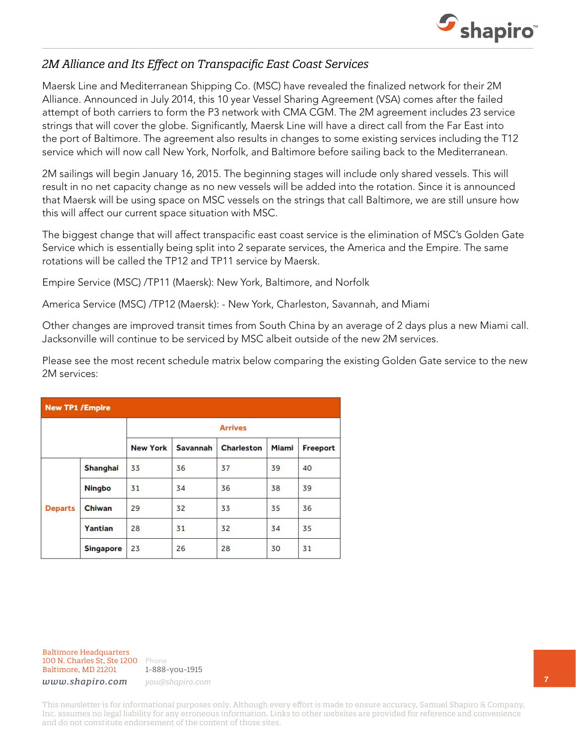

## *2M Alliance and Its Effect on Transpacific East Coast Services*

Maersk Line and Mediterranean Shipping Co. (MSC) have revealed the finalized network for their 2M Alliance. Announced in July 2014, this 10 year Vessel Sharing Agreement (VSA) comes after the failed attempt of both carriers to form the P3 network with CMA CGM. The 2M agreement includes 23 service strings that will cover the globe. Significantly, Maersk Line will have a direct call from the Far East into the port of Baltimore. The agreement also results in changes to some existing services including the T12 service which will now call New York, Norfolk, and Baltimore before sailing back to the Mediterranean.

2M sailings will begin January 16, 2015. The beginning stages will include only shared vessels. This will result in no net capacity change as no new vessels will be added into the rotation. Since it is announced that Maersk will be using space on MSC vessels on the strings that call Baltimore, we are still unsure how this will affect our current space situation with MSC.

The biggest change that will affect transpacific east coast service is the elimination of MSC's Golden Gate Service which is essentially being split into 2 separate services, the America and the Empire. The same rotations will be called the TP12 and TP11 service by Maersk.

Empire Service (MSC) /TP11 (Maersk): New York, Baltimore, and Norfolk

America Service (MSC) /TP12 (Maersk): - New York, Charleston, Savannah, and Miami

Other changes are improved transit times from South China by an average of 2 days plus a new Miami call. Jacksonville will continue to be serviced by MSC albeit outside of the new 2M services.

Please see the most recent schedule matrix below comparing the existing Golden Gate service to the new 2M services:

|                |                  | <b>Arrives</b>  |                 |                   |              |          |  |
|----------------|------------------|-----------------|-----------------|-------------------|--------------|----------|--|
|                |                  | <b>New York</b> | <b>Savannah</b> | <b>Charleston</b> | <b>Miami</b> | Freeport |  |
|                | Shanghai         | 33              | 36              | 37                | 39           | 40       |  |
|                | <b>Ningbo</b>    | 31              | 34              | 36                | 38           | 39       |  |
| <b>Departs</b> | Chiwan           | 29              | 32              | 33                | 35           | 36       |  |
|                | Yantian          | 28              | 31              | 32                | 34           | 35       |  |
|                | <b>Singapore</b> | 23              | 26              | 28                | 30           | 31       |  |

Baltimore Headquarters 100 N. Charles St, Ste 1200 Phone Baltimore, MD 21201

1-888-you-1915

*www.shapiro.com you@shapiro.com*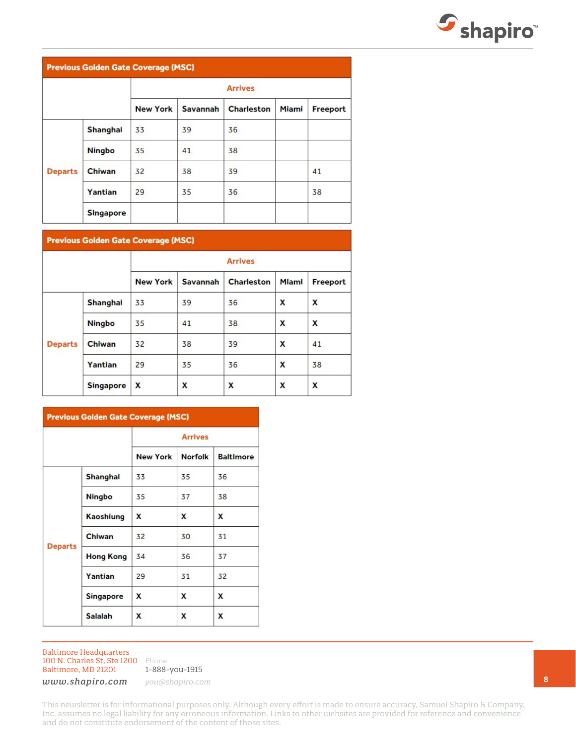

#### **Previous Golden Gate Coverage (MSC)**

|                |                  | <b>Arrives</b>  |                 |                   |              |                 |  |
|----------------|------------------|-----------------|-----------------|-------------------|--------------|-----------------|--|
|                |                  | <b>New York</b> | <b>Savannah</b> | <b>Charleston</b> | <b>Miami</b> | <b>Freeport</b> |  |
|                | <b>Shanghai</b>  | 33              | 39              | 36                |              |                 |  |
|                | <b>Ningbo</b>    | 35              | 41              | 38                |              |                 |  |
| <b>Departs</b> | Chiwan           | 32              | 38              | 39                |              | 41              |  |
|                | Yantian          | 29              | 35              | 36                |              | 38              |  |
|                | <b>Singapore</b> |                 |                 |                   |              |                 |  |

#### **Previous Golden Gate Coverage (MSC)**

|                |                  | <b>Arrives</b>  |                 |                   |              |          |
|----------------|------------------|-----------------|-----------------|-------------------|--------------|----------|
|                |                  | <b>New York</b> | <b>Savannah</b> | <b>Charleston</b> | <b>Miami</b> | Freeport |
|                | <b>Shanghai</b>  | 33              | 39              | 36                | x            | x        |
|                | <b>Ningbo</b>    | 35              | 41              | 38                | X            | X        |
| <b>Departs</b> | Chiwan           | 32              | 38              | 39                | X            | 41       |
|                | Yantian          | 29              | 35              | 36                | X            | 38       |
|                | <b>Singapore</b> | X               | x               | X                 | x            | x        |

| <b>Previous Golden Gate Coverage (MSC)</b> |                  |                 |                |                  |  |  |
|--------------------------------------------|------------------|-----------------|----------------|------------------|--|--|
|                                            |                  | <b>Arrives</b>  |                |                  |  |  |
|                                            |                  | <b>New York</b> | <b>Norfolk</b> | <b>Baltimore</b> |  |  |
|                                            | Shanghai         | 33              | 35             | 36               |  |  |
|                                            | <b>Ningbo</b>    | 35              | 37             | 38               |  |  |
|                                            | Kaoshiung        | x               | X              | X                |  |  |
| <b>Departs</b>                             | Chiwan           | 32              | 30             | 31               |  |  |
|                                            | <b>Hong Kong</b> | 34              | 36             | 37               |  |  |
|                                            | Yantian          | 29              | 31             | 32               |  |  |
|                                            | <b>Singapore</b> | x               | X              | x                |  |  |
|                                            | <b>Salalah</b>   | x               | X              | x                |  |  |

Baltimore Headquarters 100 N. Charles St, Ste 1200 Phone Baltimore, MD 21201

1-888-you-1915

*www.shapiro.com you@shapiro.com*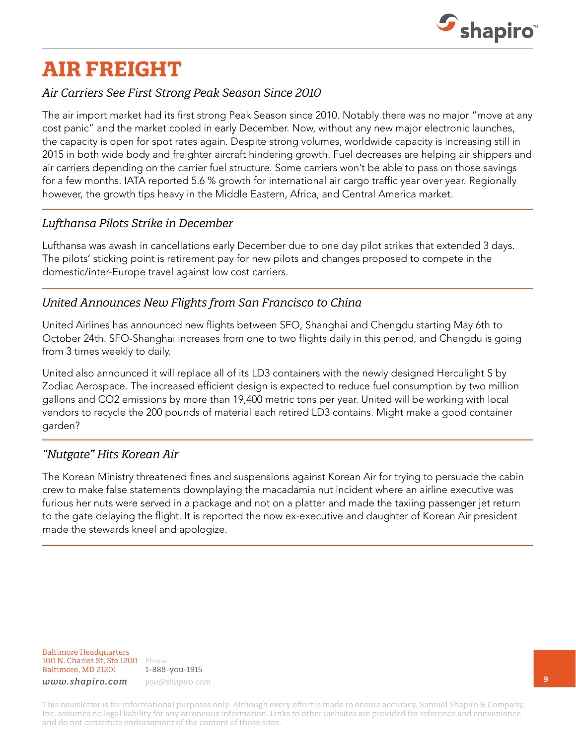

# **AIR FREIGHT**

## *Air Carriers See First Strong Peak Season Since 2010*

The air import market had its first strong Peak Season since 2010. Notably there was no major "move at any cost panic" and the market cooled in early December. Now, without any new major electronic launches, the capacity is open for spot rates again. Despite strong volumes, worldwide capacity is increasing still in 2015 in both wide body and freighter aircraft hindering growth. Fuel decreases are helping air shippers and air carriers depending on the carrier fuel structure. Some carriers won't be able to pass on those savings for a few months. IATA reported 5.6 % growth for international air cargo traffic year over year. Regionally however, the growth tips heavy in the Middle Eastern, Africa, and Central America market.

### *Lufthansa Pilots Strike in December*

Lufthansa was awash in cancellations early December due to one day pilot strikes that extended 3 days. The pilots' sticking point is retirement pay for new pilots and changes proposed to compete in the domestic/inter-Europe travel against low cost carriers.

## *United Announces New Flights from San Francisco to China*

United Airlines has announced new flights between SFO, Shanghai and Chengdu starting May 6th to October 24th. SFO-Shanghai increases from one to two flights daily in this period, and Chengdu is going from 3 times weekly to daily.

United also announced it will replace all of its LD3 containers with the newly designed Herculight S by Zodiac Aerospace. The increased efficient design is expected to reduce fuel consumption by two million gallons and CO2 emissions by more than 19,400 metric tons per year. United will be working with local vendors to recycle the 200 pounds of material each retired LD3 contains. Might make a good container garden?

## *"Nutgate" Hits Korean Air*

The Korean Ministry threatened fines and suspensions against Korean Air for trying to persuade the cabin crew to make false statements downplaying the macadamia nut incident where an airline executive was furious her nuts were served in a package and not on a platter and made the taxiing passenger jet return to the gate delaying the flight. It is reported the now ex-executive and daughter of Korean Air president made the stewards kneel and apologize.

Baltimore Headquarters 100 N. Charles St, Ste 1200 Phone Baltimore, MD 21201

1-888-you-1915 *www.shapiro.com you@shapiro.com*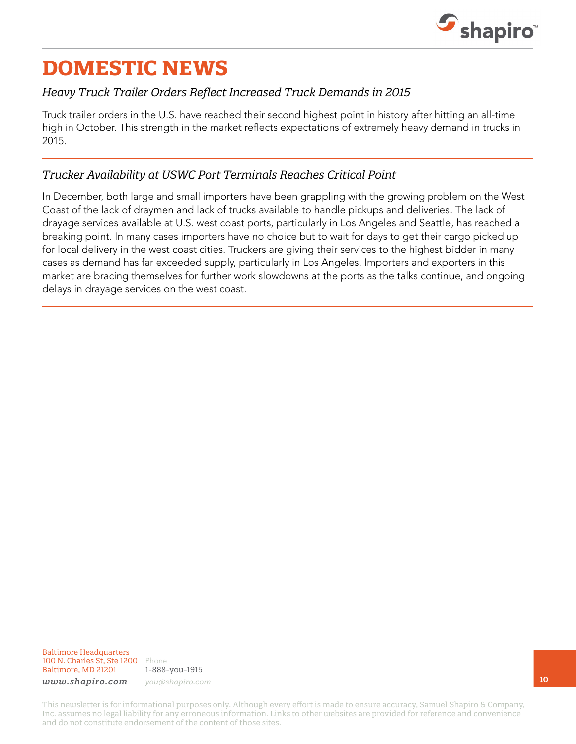

## **DOMESTIC NEWS**

## *Heavy Truck Trailer Orders Reflect Increased Truck Demands in 2015*

Truck trailer orders in the U.S. have reached their second highest point in history after hitting an all-time high in October. This strength in the market reflects expectations of extremely heavy demand in trucks in 2015.

## *Trucker Availability at USWC Port Terminals Reaches Critical Point*

In December, both large and small importers have been grappling with the growing problem on the West Coast of the lack of draymen and lack of trucks available to handle pickups and deliveries. The lack of drayage services available at U.S. west coast ports, particularly in Los Angeles and Seattle, has reached a breaking point. In many cases importers have no choice but to wait for days to get their cargo picked up for local delivery in the west coast cities. Truckers are giving their services to the highest bidder in many cases as demand has far exceeded supply, particularly in Los Angeles. Importers and exporters in this market are bracing themselves for further work slowdowns at the ports as the talks continue, and ongoing delays in drayage services on the west coast.

Baltimore Headquarters 100 N. Charles St, Ste 1200 Phone Baltimore, MD 21201

1-888-you-1915

*www.shapiro.com you@shapiro.com*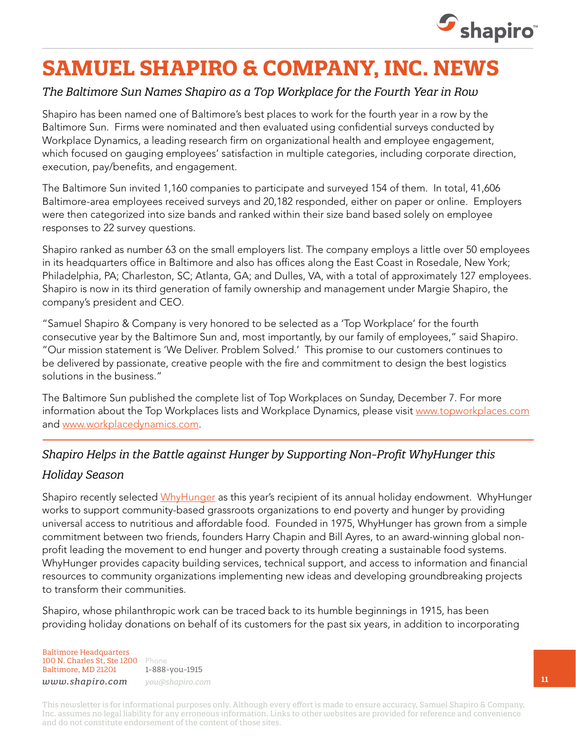

## **SAMUEL SHAPIRO & COMPANY, INC. NEWS**

## *The Baltimore Sun Names Shapiro as a Top Workplace for the Fourth Year in Row*

Shapiro has been named one of Baltimore's best places to work for the fourth year in a row by the Baltimore Sun. Firms were nominated and then evaluated using confidential surveys conducted by Workplace Dynamics, a leading research firm on organizational health and employee engagement, which focused on gauging employees' satisfaction in multiple categories, including corporate direction, execution, pay/benefits, and engagement.

The Baltimore Sun invited 1,160 companies to participate and surveyed 154 of them. In total, 41,606 Baltimore-area employees received surveys and 20,182 responded, either on paper or online. Employers were then categorized into size bands and ranked within their size band based solely on employee responses to 22 survey questions.

Shapiro ranked as number 63 on the small employers list. The company employs a little over 50 employees in its headquarters office in Baltimore and also has offices along the East Coast in Rosedale, New York; Philadelphia, PA; Charleston, SC; Atlanta, GA; and Dulles, VA, with a total of approximately 127 employees. Shapiro is now in its third generation of family ownership and management under Margie Shapiro, the company's president and CEO.

"Samuel Shapiro & Company is very honored to be selected as a 'Top Workplace' for the fourth consecutive year by the Baltimore Sun and, most importantly, by our family of employees," said Shapiro. "Our mission statement is 'We Deliver. Problem Solved.' This promise to our customers continues to be delivered by passionate, creative people with the fire and commitment to design the best logistics solutions in the business."

The Baltimore Sun published the complete list of Top Workplaces on Sunday, December 7. For more information about the Top Workplaces lists and Workplace Dynamics, please visit [www.topworkplaces.com](http://topworkplaces.com) and [www.workplacedynamics.com](http://workplacedynamics.com).

## *Shapiro Helps in the Battle against Hunger by Supporting Non-Profit WhyHunger this*

### *Holiday Season*

Shapiro recently selected [WhyHunger](http://www.whyhunger.org/) as this year's recipient of its annual holiday endowment. WhyHunger works to support community-based grassroots organizations to end poverty and hunger by providing universal access to nutritious and affordable food. Founded in 1975, WhyHunger has grown from a simple commitment between two friends, founders Harry Chapin and Bill Ayres, to an award-winning global nonprofit leading the movement to end hunger and poverty through creating a sustainable food systems. WhyHunger provides capacity building services, technical support, and access to information and financial resources to community organizations implementing new ideas and developing groundbreaking projects to transform their communities.

Shapiro, whose philanthropic work can be traced back to its humble beginnings in 1915, has been providing holiday donations on behalf of its customers for the past six years, in addition to incorporating

Baltimore Headquarters 100 N. Charles St, Ste 1200 Phone Baltimore, MD 21201

1-888-you-1915 *www.shapiro.com you@shapiro.com*